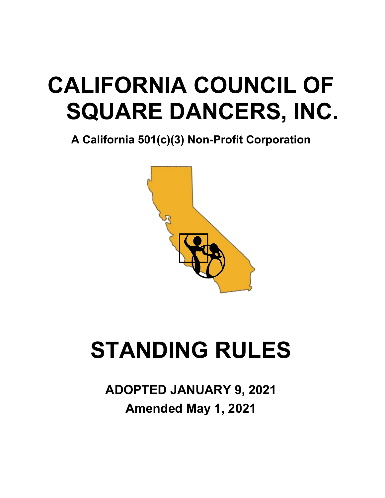# **CALIFORNIA COUNCIL OF SQUARE DANCERS, INC.**

**A California 501(c)(3) Non-Profit Corporation**



# **STANDING RULES**

**ADOPTED JANUARY 9, 2021 Amended May 1, 2021**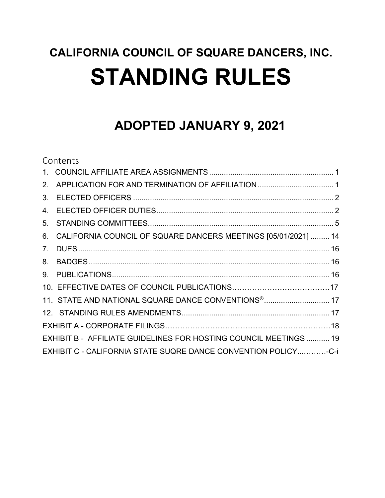## **ADOPTED JANUARY 9, 2021**

### Contents 1. [COUNCIL AFFILIATE AREA ASSIGNMENTS...........................................................](#page-2-0) 1 2. [APPLICATION FOR AND TERMINATION OF AFFILIATION....................................](#page-2-1) 1 3. ELECTED OFFICERS [...............................................................................................](#page-3-0) 2 4. [ELECTED OFFICER DUTIES....................................................................................](#page-3-1) 2 5. [STANDING COMMITTEES........................................................................................](#page-6-0) 5 6. [CALIFORNIA COUNCIL OF SQUARE DANCERS MEETINGS](#page-15-0) [05/01/2021] ......... 14 7. [DUES.......................................................................................................................](#page-17-0) 16 8. [BADGES..................................................................................................................](#page-17-1) 16 9. [PUBLICATIONS.......................................................................................................](#page-17-2) 16 10. EFFECTIVE DATES OF COUNCIL PUBLICATIONS…………………………………17 11. [STATE AND NATIONAL SQUARE DANCE CONVENTIONS®...............................](#page-18-0) 17 [12. STANDING RULES AMENDMENTS......................................................................](#page-18-1) 17 EXHIBIT A - CORPORATE FILINGS…………………………………………………………18 EXHIBIT B - [AFFILIATE GUIDELINES FOR HOSTING COUNCIL MEETINGS](#page-20-0) ........... 19 EXHIBIT C - CALIFORNIA STATE SUQRE DANCE CONVENTION POLICY...………-C-i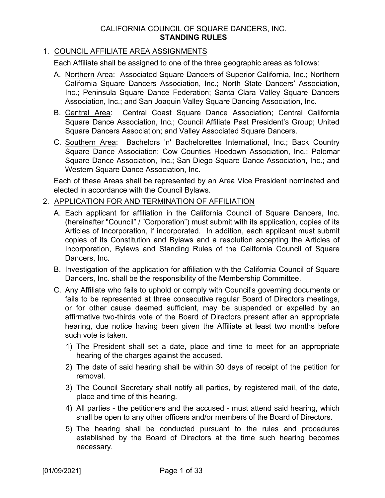#### 1. COUNCIL AFFILIATE AREA ASSIGNMENTS

<span id="page-2-0"></span>Each Affiliate shall be assigned to one of the three geographic areas as follows:

- A. Northern Area: Associated Square Dancers of Superior California, Inc.; Northern California Square Dancers Association, Inc.; North State Dancers' Association, Inc.; Peninsula Square Dance Federation; Santa Clara Valley Square Dancers Association, Inc.; and San Joaquin Valley Square Dancing Association, Inc.
- B. Central Area: Central Coast Square Dance Association; Central California Square Dance Association, Inc.; Council Affiliate Past President's Group; United Square Dancers Association; and Valley Associated Square Dancers.
- C. Southern Area: Bachelors 'n' Bachelorettes International, Inc.; Back Country Square Dance Association; Cow Counties Hoedown Association, Inc.; Palomar Square Dance Association, Inc.; San Diego Square Dance Association, Inc.; and Western Square Dance Association, Inc.

Each of these Areas shall be represented by an Area Vice President nominated and elected in accordance with the Council Bylaws.

#### <span id="page-2-1"></span>2. APPLICATION FOR AND TERMINATION OF AFFILIATION

- A. Each applicant for affiliation in the California Council of Square Dancers, Inc. (hereinafter "Council" / "Corporation") must submit with its application, copies of its Articles of Incorporation, if incorporated. In addition, each applicant must submit copies of its Constitution and Bylaws and a resolution accepting the Articles of Incorporation, Bylaws and Standing Rules of the California Council of Square Dancers, Inc.
- B. Investigation of the application for affiliation with the California Council of Square Dancers, Inc. shall be the responsibility of the Membership Committee.
- C. Any Affiliate who fails to uphold or comply with Council's governing documents or fails to be represented at three consecutive regular Board of Directors meetings, or for other cause deemed sufficient, may be suspended or expelled by an affirmative two-thirds vote of the Board of Directors present after an appropriate hearing, due notice having been given the Affiliate at least two months before such vote is taken.
	- 1) The President shall set a date, place and time to meet for an appropriate hearing of the charges against the accused.
	- 2) The date of said hearing shall be within 30 days of receipt of the petition for removal.
	- 3) The Council Secretary shall notify all parties, by registered mail, of the date, place and time of this hearing.
	- 4) All parties the petitioners and the accused must attend said hearing, which shall be open to any other officers and/or members of the Board of Directors.
	- 5) The hearing shall be conducted pursuant to the rules and procedures established by the Board of Directors at the time such hearing becomes necessary.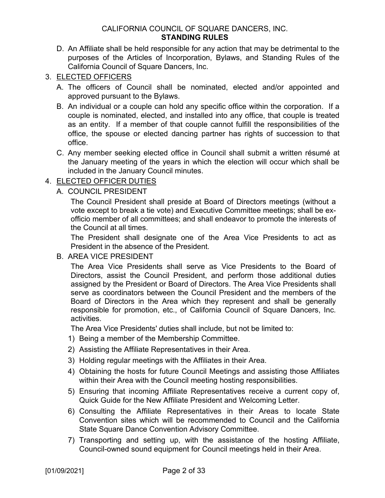- D. An Affiliate shall be held responsible for any action that may be detrimental to the purposes of the Articles of Incorporation, Bylaws, and Standing Rules of the California Council of Square Dancers, Inc.
- <span id="page-3-0"></span>3. ELECTED OFFICERS
	- A. The officers of Council shall be nominated, elected and/or appointed and approved pursuant to the Bylaws.
	- B. An individual or a couple can hold any specific office within the corporation. If a couple is nominated, elected, and installed into any office, that couple is treated as an entity. If a member of that couple cannot fulfill the responsibilities of the office, the spouse or elected dancing partner has rights of succession to that office.
	- C. Any member seeking elected office in Council shall submit a written résumé at the January meeting of the years in which the election will occur which shall be included in the January Council minutes.

#### <span id="page-3-1"></span>4. ELECTED OFFICER DUTIES

A. COUNCIL PRESIDENT

The Council President shall preside at Board of Directors meetings (without a vote except to break a tie vote) and Executive Committee meetings; shall be exofficio member of all committees; and shall endeavor to promote the interests of the Council at all times.

The President shall designate one of the Area Vice Presidents to act as President in the absence of the President.

B. AREA VICE PRESIDENT

The Area Vice Presidents shall serve as Vice Presidents to the Board of Directors, assist the Council President, and perform those additional duties assigned by the President or Board of Directors. The Area Vice Presidents shall serve as coordinators between the Council President and the members of the Board of Directors in the Area which they represent and shall be generally responsible for promotion, etc., of California Council of Square Dancers, Inc. activities.

The Area Vice Presidents' duties shall include, but not be limited to:

- 1) Being a member of the Membership Committee.
- 2) Assisting the Affiliate Representatives in their Area.
- 3) Holding regular meetings with the Affiliates in their Area.
- 4) Obtaining the hosts for future Council Meetings and assisting those Affiliates within their Area with the Council meeting hosting responsibilities.
- 5) Ensuring that incoming Affiliate Representatives receive a current copy of, Quick Guide for the New Affiliate President and Welcoming Letter.
- 6) Consulting the Affiliate Representatives in their Areas to locate State Convention sites which will be recommended to Council and the California State Square Dance Convention Advisory Committee.
- 7) Transporting and setting up, with the assistance of the hosting Affiliate, Council-owned sound equipment for Council meetings held in their Area.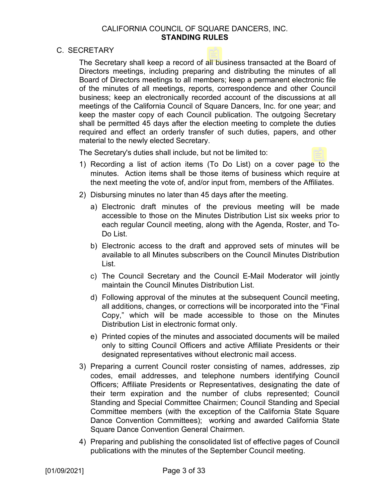#### C. SECRETARY

The Secretary shall keep a record of all business transacted at the Board of Directors meetings, including preparing and distributing the minutes of all Board of Directors meetings to all members; keep a permanent electronic file of the minutes of all meetings, reports, correspondence and other Council business; keep an electronically recorded account of the discussions at all meetings of the California Council of Square Dancers, Inc. for one year; and keep the master copy of each Council publication. The outgoing Secretary shall be permitted 45 days after the election meeting to complete the duties required and effect an orderly transfer of such duties, papers, and other material to the newly elected Secretary.

The Secretary's duties shall include, but not be limited to:

- 1) Recording a list of action items (To Do List) on a cover page to the minutes. Action items shall be those items of business which require at the next meeting the vote of, and/or input from, members of the Affiliates.
- 2) Disbursing minutes no later than 45 days after the meeting.
	- a) Electronic draft minutes of the previous meeting will be made accessible to those on the Minutes Distribution List six weeks prior to each regular Council meeting, along with the Agenda, Roster, and To-Do List.
	- b) Electronic access to the draft and approved sets of minutes will be available to all Minutes subscribers on the Council Minutes Distribution List.
	- c) The Council Secretary and the Council E-Mail Moderator will jointly maintain the Council Minutes Distribution List.
	- d) Following approval of the minutes at the subsequent Council meeting, all additions, changes, or corrections will be incorporated into the "Final Copy," which will be made accessible to those on the Minutes Distribution List in electronic format only.
	- e) Printed copies of the minutes and associated documents will be mailed only to sitting Council Officers and active Affiliate Presidents or their designated representatives without electronic mail access.
- 3) Preparing a current Council roster consisting of names, addresses, zip codes, email addresses, and telephone numbers identifying Council Officers; Affiliate Presidents or Representatives, designating the date of their term expiration and the number of clubs represented; Council Standing and Special Committee Chairmen; Council Standing and Special Committee members (with the exception of the California State Square Dance Convention Committees); working and awarded California State Square Dance Convention General Chairmen.
- 4) Preparing and publishing the consolidated list of effective pages of Council publications with the minutes of the September Council meeting.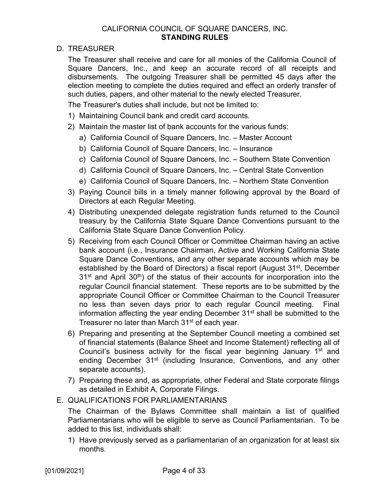D. TREASURER

The Treasurer shall receive and care for all monies of the California Council of Square Dancers, Inc., and keep an accurate record of all receipts and disbursements. The outgoing Treasurer shall be permitted 45 days after the election meeting to complete the duties required and effect an orderly transfer of such duties, papers, and other material to the newly elected Treasurer.

The Treasurer's duties shall include, but not be limited to:

- 1) Maintaining Council bank and credit card accounts.
- 2) Maintain the master list of bank accounts for the various funds:
	- a) California Council of Square Dancers, Inc. Master Account
	- b) California Council of Square Dancers, Inc. Insurance
	- c) California Council of Square Dancers, Inc. Southern State Convention
	- d) California Council of Square Dancers, Inc. Central State Convention
	- e) California Council of Square Dancers, Inc. Northern State Convention
- 3) Paying Council bills in a timely manner following approval by the Board of Directors at each Regular Meeting.
- 4) Distributing unexpended delegate registration funds returned to the Council treasury by the California State Square Dance Conventions pursuant to the California State Square Dance Convention Policy.
- 5) Receiving from each Council Officer or Committee Chairman having an active bank account (i.e., Insurance Chairman, Active and Working California State Square Dance Conventions, and any other separate accounts which may be established by the Board of Directors) a fiscal report (August 31<sup>st</sup>, December  $31<sup>st</sup>$  and April  $30<sup>th</sup>$ ) of the status of their accounts for incorporation into the regular Council financial statement. These reports are to be submitted by the appropriate Council Officer or Committee Chairman to the Council Treasurer no less than seven days prior to each regular Council meeting. Final information affecting the year ending December 31<sup>st</sup> shall be submitted to the Treasurer no later than March 31<sup>st</sup> of each year.
- 6) Preparing and presenting at the September Council meeting a combined set of financial statements (Balance Sheet and Income Statement) reflecting all of Council's business activity for the fiscal year beginning January 1<sup>st</sup> and ending December 31<sup>st</sup> (including Insurance, Conventions, and any other separate accounts).
- 7) Preparing these and, as appropriate, other Federal and State corporate filings as detailed in Exhibit A, Corporate Filings.
- E. QUALIFICATIONS FOR PARLIAMENTARIANS

The Chairman of the Bylaws Committee shall maintain a list of qualified Parliamentarians who will be eligible to serve as Council Parliamentarian. To be added to this list, individuals shall:

1) Have previously served as a parliamentarian of an organization for at least six months.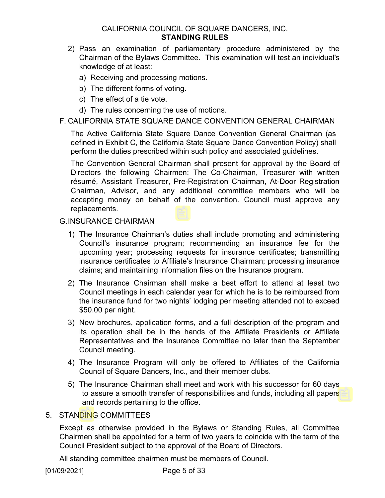- 2) Pass an examination of parliamentary procedure administered by the Chairman of the Bylaws Committee. This examination will test an individual's knowledge of at least:
	- a) Receiving and processing motions.
	- b) The different forms of voting.
	- c) The effect of a tie vote.
	- d) The rules concerning the use of motions.

#### F. CALIFORNIA STATE SQUARE DANCE CONVENTION GENERAL CHAIRMAN

The Active California State Square Dance Convention General Chairman (as defined in Exhibit C, the California State Square Dance Convention Policy) shall perform the duties prescribed within such policy and associated guidelines.

The Convention General Chairman shall present for approval by the Board of Directors the following Chairmen: The Co-Chairman, Treasurer with written résumé, Assistant Treasurer, Pre-Registration Chairman, At-Door Registration Chairman, Advisor, and any additional committee members who will be accepting money on behalf of the convention. Council must approve any replacements.

#### G.INSURANCE CHAIRMAN

- 1) The Insurance Chairman's duties shall include promoting and administering Council's insurance program; recommending an insurance fee for the upcoming year; processing requests for insurance certificates; transmitting insurance certificates to Affiliate's Insurance Chairman; processing insurance claims; and maintaining information files on the Insurance program.
- 2) The Insurance Chairman shall make a best effort to attend at least two Council meetings in each calendar year for which he is to be reimbursed from the insurance fund for two nights' lodging per meeting attended not to exceed \$50.00 per night.
- 3) New brochures, application forms, and a full description of the program and its operation shall be in the hands of the Affiliate Presidents or Affiliate Representatives and the Insurance Committee no later than the September Council meeting.
- 4) The Insurance Program will only be offered to Affiliates of the California Council of Square Dancers, Inc., and their member clubs.
- 5) The Insurance Chairman shall meet and work with his successor for 60 days to assure a smooth transfer of responsibilities and funds, including all papers and records pertaining to the office.

#### <span id="page-6-0"></span>5. STANDING COMMITTEES

Except as otherwise provided in the Bylaws or Standing Rules, all Committee Chairmen shall be appointed for a term of two years to coincide with the term of the Council President subject to the approval of the Board of Directors.

All standing committee chairmen must be members of Council.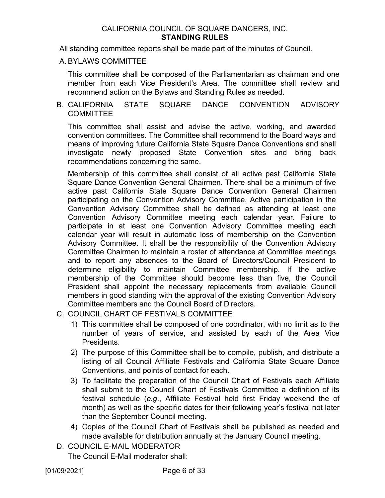All standing committee reports shall be made part of the minutes of Council.

#### A. BYLAWS COMMITTEE

This committee shall be composed of the Parliamentarian as chairman and one member from each Vice President's Area. The committee shall review and recommend action on the Bylaws and Standing Rules as needed.

#### B. CALIFORNIA STATE SQUARE DANCE CONVENTION ADVISORY **COMMITTEE**

This committee shall assist and advise the active, working, and awarded convention committees. The Committee shall recommend to the Board ways and means of improving future California State Square Dance Conventions and shall investigate newly proposed State Convention sites and bring back recommendations concerning the same.

Membership of this committee shall consist of all active past California State Square Dance Convention General Chairmen. There shall be a minimum of five active past California State Square Dance Convention General Chairmen participating on the Convention Advisory Committee. Active participation in the Convention Advisory Committee shall be defined as attending at least one Convention Advisory Committee meeting each calendar year. Failure to participate in at least one Convention Advisory Committee meeting each calendar year will result in automatic loss of membership on the Convention Advisory Committee. It shall be the responsibility of the Convention Advisory Committee Chairmen to maintain a roster of attendance at Committee meetings and to report any absences to the Board of Directors/Council President to determine eligibility to maintain Committee membership. If the active membership of the Committee should become less than five, the Council President shall appoint the necessary replacements from available Council members in good standing with the approval of the existing Convention Advisory Committee members and the Council Board of Directors.

- C. COUNCIL CHART OF FESTIVALS COMMITTEE
	- 1) This committee shall be composed of one coordinator, with no limit as to the number of years of service, and assisted by each of the Area Vice Presidents.
	- 2) The purpose of this Committee shall be to compile, publish, and distribute a listing of all Council Affiliate Festivals and California State Square Dance Conventions, and points of contact for each.
	- 3) To facilitate the preparation of the Council Chart of Festivals each Affiliate shall submit to the Council Chart of Festivals Committee a definition of its festival schedule (*e.g*., Affiliate Festival held first Friday weekend the of month) as well as the specific dates for their following year's festival not later than the September Council meeting.
	- 4) Copies of the Council Chart of Festivals shall be published as needed and made available for distribution annually at the January Council meeting.
- D. COUNCIL E-MAIL MODERATOR

The Council E-Mail moderator shall: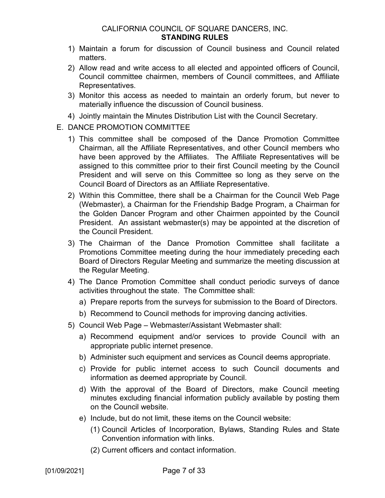- 1) Maintain a forum for discussion of Council business and Council related matters.
- 2) Allow read and write access to all elected and appointed officers of Council, Council committee chairmen, members of Council committees, and Affiliate Representatives.
- 3) Monitor this access as needed to maintain an orderly forum, but never to materially influence the discussion of Council business.
- 4) Jointly maintain the Minutes Distribution List with the Council Secretary.
- E. DANCE PROMOTION COMMITTEE
	- 1) This committee shall be composed of the Dance Promotion Committee Chairman, all the Affiliate Representatives, and other Council members who have been approved by the Affiliates. The Affiliate Representatives will be assigned to this committee prior to their first Council meeting by the Council President and will serve on this Committee so long as they serve on the Council Board of Directors as an Affiliate Representative.
	- 2) Within this Committee, there shall be a Chairman for the Council Web Page (Webmaster), a Chairman for the Friendship Badge Program, a Chairman for the Golden Dancer Program and other Chairmen appointed by the Council President. An assistant webmaster(s) may be appointed at the discretion of the Council President.
	- 3) The Chairman of the Dance Promotion Committee shall facilitate a Promotions Committee meeting during the hour immediately preceding each Board of Directors Regular Meeting and summarize the meeting discussion at the Regular Meeting.
	- 4) The Dance Promotion Committee shall conduct periodic surveys of dance activities throughout the state. The Committee shall:
		- a) Prepare reports from the surveys for submission to the Board of Directors.
		- b) Recommend to Council methods for improving dancing activities.
	- 5) Council Web Page Webmaster/Assistant Webmaster shall:
		- a) Recommend equipment and/or services to provide Council with an appropriate public internet presence.
		- b) Administer such equipment and services as Council deems appropriate.
		- c) Provide for public internet access to such Council documents and information as deemed appropriate by Council.
		- d) With the approval of the Board of Directors, make Council meeting minutes excluding financial information publicly available by posting them on the Council website.
		- e) Include, but do not limit, these items on the Council website:
			- (1) Council Articles of Incorporation, Bylaws, Standing Rules and State Convention information with links.
			- (2) Current officers and contact information.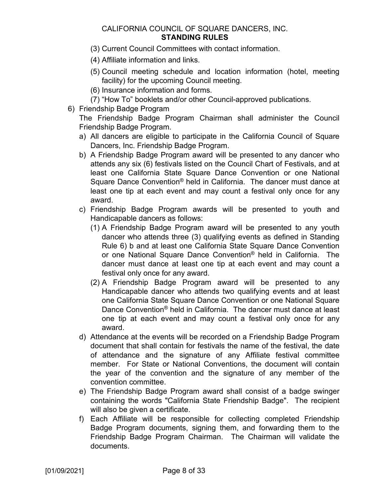- (3) Current Council Committees with contact information.
- (4) Affiliate information and links.
- (5) Council meeting schedule and location information (hotel, meeting facility) for the upcoming Council meeting.
- (6) Insurance information and forms.
- (7) "How To" booklets and/or other Council-approved publications.
- 6) Friendship Badge Program

The Friendship Badge Program Chairman shall administer the Council Friendship Badge Program.

- a) All dancers are eligible to participate in the California Council of Square Dancers, Inc. Friendship Badge Program.
- b) A Friendship Badge Program award will be presented to any dancer who attends any six (6) festivals listed on the Council Chart of Festivals, and at least one California State Square Dance Convention or one National Square Dance Convention® held in California. The dancer must dance at least one tip at each event and may count a festival only once for any award.
- c) Friendship Badge Program awards will be presented to youth and Handicapable dancers as follows:
	- (1) A Friendship Badge Program award will be presented to any youth dancer who attends three (3) qualifying events as defined in Standing Rule 6) b and at least one California State Square Dance Convention or one National Square Dance Convention® held in California. The dancer must dance at least one tip at each event and may count a festival only once for any award.
	- (2) A Friendship Badge Program award will be presented to any Handicapable dancer who attends two qualifying events and at least one California State Square Dance Convention or one National Square Dance Convention® held in California. The dancer must dance at least one tip at each event and may count a festival only once for any award.
- d) Attendance at the events will be recorded on a Friendship Badge Program document that shall contain for festivals the name of the festival, the date of attendance and the signature of any Affiliate festival committee member. For State or National Conventions, the document will contain the year of the convention and the signature of any member of the convention committee.
- e) The Friendship Badge Program award shall consist of a badge swinger containing the words "California State Friendship Badge". The recipient will also be given a certificate.
- f) Each Affiliate will be responsible for collecting completed Friendship Badge Program documents, signing them, and forwarding them to the Friendship Badge Program Chairman. The Chairman will validate the documents.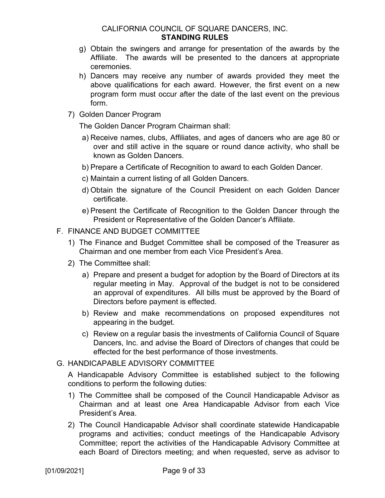- g) Obtain the swingers and arrange for presentation of the awards by the Affiliate. The awards will be presented to the dancers at appropriate ceremonies.
- h) Dancers may receive any number of awards provided they meet the above qualifications for each award. However, the first event on a new program form must occur after the date of the last event on the previous form.
- 7) Golden Dancer Program

The Golden Dancer Program Chairman shall:

- a) Receive names, clubs, Affiliates, and ages of dancers who are age 80 or over and still active in the square or round dance activity, who shall be known as Golden Dancers.
- b) Prepare a Certificate of Recognition to award to each Golden Dancer.
- c) Maintain a current listing of all Golden Dancers.
- d) Obtain the signature of the Council President on each Golden Dancer certificate.
- e) Present the Certificate of Recognition to the Golden Dancer through the President or Representative of the Golden Dancer's Affiliate.

#### F. FINANCE AND BUDGET COMMITTEE

- 1) The Finance and Budget Committee shall be composed of the Treasurer as Chairman and one member from each Vice President's Area.
- 2) The Committee shall:
	- a) Prepare and present a budget for adoption by the Board of Directors at its regular meeting in May. Approval of the budget is not to be considered an approval of expenditures. All bills must be approved by the Board of Directors before payment is effected.
	- b) Review and make recommendations on proposed expenditures not appearing in the budget.
	- c) Review on a regular basis the investments of California Council of Square Dancers, Inc. and advise the Board of Directors of changes that could be effected for the best performance of those investments.

#### G. HANDICAPABLE ADVISORY COMMITTEE

A Handicapable Advisory Committee is established subject to the following conditions to perform the following duties:

- 1) The Committee shall be composed of the Council Handicapable Advisor as Chairman and at least one Area Handicapable Advisor from each Vice President's Area.
- 2) The Council Handicapable Advisor shall coordinate statewide Handicapable programs and activities; conduct meetings of the Handicapable Advisory Committee; report the activities of the Handicapable Advisory Committee at each Board of Directors meeting; and when requested, serve as advisor to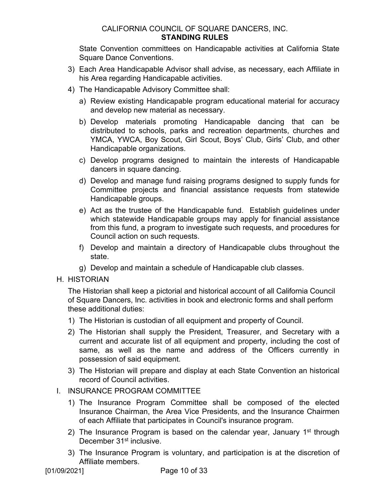State Convention committees on Handicapable activities at California State Square Dance Conventions.

- 3) Each Area Handicapable Advisor shall advise, as necessary, each Affiliate in his Area regarding Handicapable activities.
- 4) The Handicapable Advisory Committee shall:
	- a) Review existing Handicapable program educational material for accuracy and develop new material as necessary.
	- b) Develop materials promoting Handicapable dancing that can be distributed to schools, parks and recreation departments, churches and YMCA, YWCA, Boy Scout, Girl Scout, Boys' Club, Girls' Club, and other Handicapable organizations.
	- c) Develop programs designed to maintain the interests of Handicapable dancers in square dancing.
	- d) Develop and manage fund raising programs designed to supply funds for Committee projects and financial assistance requests from statewide Handicapable groups.
	- e) Act as the trustee of the Handicapable fund. Establish guidelines under which statewide Handicapable groups may apply for financial assistance from this fund, a program to investigate such requests, and procedures for Council action on such requests.
	- f) Develop and maintain a directory of Handicapable clubs throughout the state.
	- g) Develop and maintain a schedule of Handicapable club classes.
- H. HISTORIAN

The Historian shall keep a pictorial and historical account of all California Council of Square Dancers, Inc. activities in book and electronic forms and shall perform these additional duties:

- 1) The Historian is custodian of all equipment and property of Council.
- 2) The Historian shall supply the President, Treasurer, and Secretary with a current and accurate list of all equipment and property, including the cost of same, as well as the name and address of the Officers currently in possession of said equipment.
- 3) The Historian will prepare and display at each State Convention an historical record of Council activities.

#### I. INSURANCE PROGRAM COMMITTEE

- 1) The Insurance Program Committee shall be composed of the elected Insurance Chairman, the Area Vice Presidents, and the Insurance Chairmen of each Affiliate that participates in Council's insurance program.
- 2) The Insurance Program is based on the calendar year, January  $1<sup>st</sup>$  through December 31<sup>st</sup> inclusive.
- 3) The Insurance Program is voluntary, and participation is at the discretion of Affiliate members.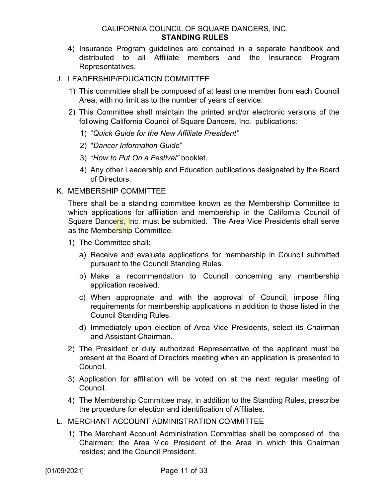4) Insurance Program guidelines are contained in a separate handbook and distributed to all Affiliate members and the Insurance Program Representatives.

#### J. LEADERSHIP/EDUCATION COMMITTEE

- 1) This committee shall be composed of at least one member from each Council Area, with no limit as to the number of years of service.
- 2) This Committee shall maintain the printed and/or electronic versions of the following California Council of Square Dancers, Inc. publications:
	- 1) "*Quick Guide for the New Affiliate President"*
	- 2) "*Dancer Information Guide*"
	- 3) "*How to Put On a Festival"* booklet.
	- 4) Any other Leadership and Education publications designated by the Board of Directors.

#### K. MEMBERSHIP COMMITTEE

There shall be a standing committee known as the Membership Committee to which applications for affiliation and membership in the California Council of Square Dancers, Inc. must be submitted. The Area Vice Presidents shall serve as the Membership Committee.

- 1) The Committee shall:
	- a) Receive and evaluate applications for membership in Council submitted pursuant to the Council Standing Rules.
	- b) Make a recommendation to Council concerning any membership application received.
	- c) When appropriate and with the approval of Council, impose filing requirements for membership applications in addition to those listed in the Council Standing Rules.
	- d) Immediately upon election of Area Vice Presidents, select its Chairman and Assistant Chairman.
- 2) The President or duly authorized Representative of the applicant must be present at the Board of Directors meeting when an application is presented to Council.
- 3) Application for affiliation will be voted on at the next regular meeting of Council.
- 4) The Membership Committee may, in addition to the Standing Rules, prescribe the procedure for election and identification of Affiliates.
- L. MERCHANT ACCOUNT ADMINISTRATION COMMITTEE
	- 1) The Merchant Account Administration Committee shall be composed of the Chairman; the Area Vice President of the Area in which this Chairman resides; and the Council President.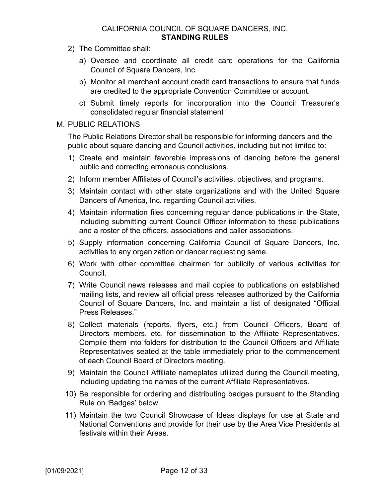- 2) The Committee shall:
	- a) Oversee and coordinate all credit card operations for the California Council of Square Dancers, Inc.
	- b) Monitor all merchant account credit card transactions to ensure that funds are credited to the appropriate Convention Committee or account.
	- c) Submit timely reports for incorporation into the Council Treasurer's consolidated regular financial statement

#### M. PUBLIC RELATIONS

The Public Relations Director shall be responsible for informing dancers and the public about square dancing and Council activities, including but not limited to:

- 1) Create and maintain favorable impressions of dancing before the general public and correcting erroneous conclusions.
- 2) Inform member Affiliates of Council's activities, objectives, and programs.
- 3) Maintain contact with other state organizations and with the United Square Dancers of America, Inc. regarding Council activities.
- 4) Maintain information files concerning regular dance publications in the State, including submitting current Council Officer information to these publications and a roster of the officers, associations and caller associations.
- 5) Supply information concerning California Council of Square Dancers, Inc. activities to any organization or dancer requesting same.
- 6) Work with other committee chairmen for publicity of various activities for Council.
- 7) Write Council news releases and mail copies to publications on established mailing lists, and review all official press releases authorized by the California Council of Square Dancers, Inc. and maintain a list of designated "Official Press Releases."
- 8) Collect materials (reports, flyers, etc.) from Council Officers, Board of Directors members, etc. for dissemination to the Affiliate Representatives. Compile them into folders for distribution to the Council Officers and Affiliate Representatives seated at the table immediately prior to the commencement of each Council Board of Directors meeting.
- 9) Maintain the Council Affiliate nameplates utilized during the Council meeting, including updating the names of the current Affiliate Representatives.
- 10) Be responsible for ordering and distributing badges pursuant to the Standing Rule on 'Badges' below.
- 11) Maintain the two Council Showcase of Ideas displays for use at State and National Conventions and provide for their use by the Area Vice Presidents at festivals within their Areas.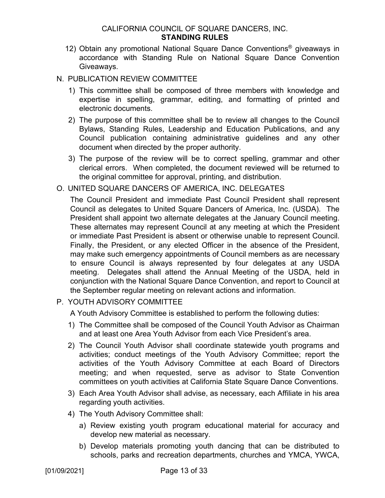- 12) Obtain any promotional National Square Dance Conventions® giveaways in accordance with Standing Rule on National Square Dance Convention Giveaways.
- N. PUBLICATION REVIEW COMMITTEE
	- 1) This committee shall be composed of three members with knowledge and expertise in spelling, grammar, editing, and formatting of printed and electronic documents.
	- 2) The purpose of this committee shall be to review all changes to the Council Bylaws, Standing Rules, Leadership and Education Publications, and any Council publication containing administrative guidelines and any other document when directed by the proper authority.
	- 3) The purpose of the review will be to correct spelling, grammar and other clerical errors. When completed, the document reviewed will be returned to the original committee for approval, printing, and distribution.
- O. UNITED SQUARE DANCERS OF AMERICA, INC. DELEGATES

The Council President and immediate Past Council President shall represent Council as delegates to United Square Dancers of America, Inc. (USDA). The President shall appoint two alternate delegates at the January Council meeting. These alternates may represent Council at any meeting at which the President or immediate Past President is absent or otherwise unable to represent Council. Finally, the President, or any elected Officer in the absence of the President, may make such emergency appointments of Council members as are necessary to ensure Council is always represented by four delegates at any USDA meeting. Delegates shall attend the Annual Meeting of the USDA, held in conjunction with the National Square Dance Convention, and report to Council at the September regular meeting on relevant actions and information.

P. YOUTH ADVISORY COMMITTEE

A Youth Advisory Committee is established to perform the following duties:

- 1) The Committee shall be composed of the Council Youth Advisor as Chairman and at least one Area Youth Advisor from each Vice President's area.
- 2) The Council Youth Advisor shall coordinate statewide youth programs and activities; conduct meetings of the Youth Advisory Committee; report the activities of the Youth Advisory Committee at each Board of Directors meeting; and when requested, serve as advisor to State Convention committees on youth activities at California State Square Dance Conventions.
- 3) Each Area Youth Advisor shall advise, as necessary, each Affiliate in his area regarding youth activities.
- 4) The Youth Advisory Committee shall:
	- a) Review existing youth program educational material for accuracy and develop new material as necessary.
	- b) Develop materials promoting youth dancing that can be distributed to schools, parks and recreation departments, churches and YMCA, YWCA,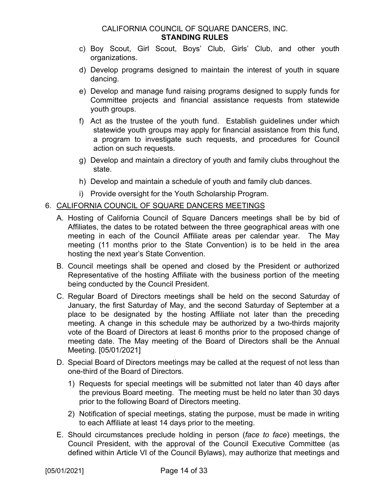- c) Boy Scout, Girl Scout, Boys' Club, Girls' Club, and other youth organizations.
- d) Develop programs designed to maintain the interest of youth in square dancing.
- e) Develop and manage fund raising programs designed to supply funds for Committee projects and financial assistance requests from statewide youth groups.
- f) Act as the trustee of the youth fund. Establish guidelines under which statewide youth groups may apply for financial assistance from this fund, a program to investigate such requests, and procedures for Council action on such requests.
- g) Develop and maintain a directory of youth and family clubs throughout the state.
- h) Develop and maintain a schedule of youth and family club dances.
- i) Provide oversight for the Youth Scholarship Program.

#### <span id="page-15-0"></span>6. CALIFORNIA COUNCIL OF SQUARE DANCERS MEETINGS

- A. Hosting of California Council of Square Dancers meetings shall be by bid of Affiliates, the dates to be rotated between the three geographical areas with one meeting in each of the Council Affiliate areas per calendar year. The May meeting (11 months prior to the State Convention) is to be held in the area hosting the next year's State Convention.
- B. Council meetings shall be opened and closed by the President or authorized Representative of the hosting Affiliate with the business portion of the meeting being conducted by the Council President.
- C. Regular Board of Directors meetings shall be held on the second Saturday of January, the first Saturday of May, and the second Saturday of September at a place to be designated by the hosting Affiliate not later than the preceding meeting. A change in this schedule may be authorized by a two-thirds majority vote of the Board of Directors at least 6 months prior to the proposed change of meeting date. The May meeting of the Board of Directors shall be the Annual Meeting. [05/01/2021]
- D. Special Board of Directors meetings may be called at the request of not less than one-third of the Board of Directors.
	- 1) Requests for special meetings will be submitted not later than 40 days after the previous Board meeting. The meeting must be held no later than 30 days prior to the following Board of Directors meeting.
	- 2) Notification of special meetings, stating the purpose, must be made in writing to each Affiliate at least 14 days prior to the meeting.
- E. Should circumstances preclude holding in person (*face to face*) meetings, the Council President, with the approval of the Council Executive Committee (as defined within Article VI of the Council Bylaws), may authorize that meetings and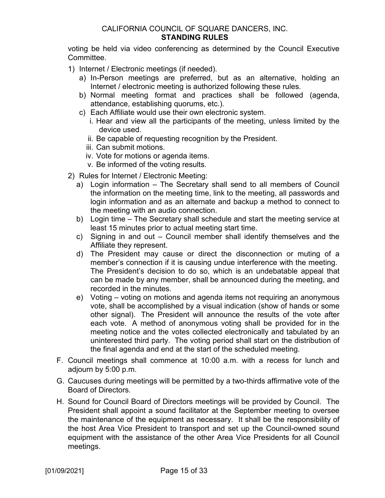voting be held via video conferencing as determined by the Council Executive Committee.

- 1) Internet / Electronic meetings (if needed).
	- a) In-Person meetings are preferred, but as an alternative, holding an Internet / electronic meeting is authorized following these rules.
	- b) Normal meeting format and practices shall be followed (agenda, attendance, establishing quorums, etc.).
	- c) Each Affiliate would use their own electronic system.
		- i. Hear and view all the participants of the meeting, unless limited by the device used.
		- ii. Be capable of requesting recognition by the President.
		- iii. Can submit motions.
		- iv. Vote for motions or agenda items.
		- v. Be informed of the voting results.
- 2) Rules for Internet / Electronic Meeting:
	- a) Login information The Secretary shall send to all members of Council the information on the meeting time, link to the meeting, all passwords and login information and as an alternate and backup a method to connect to the meeting with an audio connection.
	- b) Login time The Secretary shall schedule and start the meeting service at least 15 minutes prior to actual meeting start time.
	- c) Signing in and out Council member shall identify themselves and the Affiliate they represent.
	- d) The President may cause or direct the disconnection or muting of a member's connection if it is causing undue interference with the meeting. The President's decision to do so, which is an undebatable appeal that can be made by any member, shall be announced during the meeting, and recorded in the minutes.
	- e) Voting voting on motions and agenda items not requiring an anonymous vote, shall be accomplished by a visual indication (show of hands or some other signal). The President will announce the results of the vote after each vote. A method of anonymous voting shall be provided for in the meeting notice and the votes collected electronically and tabulated by an uninterested third party. The voting period shall start on the distribution of the final agenda and end at the start of the scheduled meeting.
- F. Council meetings shall commence at 10:00 a.m. with a recess for lunch and adjourn by 5:00 p.m.
- G. Caucuses during meetings will be permitted by a two-thirds affirmative vote of the Board of Directors.
- H. Sound for Council Board of Directors meetings will be provided by Council. The President shall appoint a sound facilitator at the September meeting to oversee the maintenance of the equipment as necessary. It shall be the responsibility of the host Area Vice President to transport and set up the Council-owned sound equipment with the assistance of the other Area Vice Presidents for all Council meetings.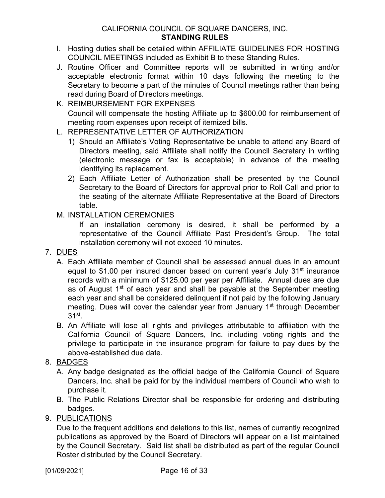- I. Hosting duties shall be detailed within AFFILIATE GUIDELINES FOR HOSTING COUNCIL MEETINGS included as Exhibit B to these Standing Rules.
- J. Routine Officer and Committee reports will be submitted in writing and/or acceptable electronic format within 10 days following the meeting to the Secretary to become a part of the minutes of Council meetings rather than being read during Board of Directors meetings.
- K. REIMBURSEMENT FOR EXPENSES Council will compensate the hosting Affiliate up to \$600.00 for reimbursement of meeting room expenses upon receipt of itemized bills.
- L. REPRESENTATIVE LETTER OF AUTHORIZATION
	- 1) Should an Affiliate's Voting Representative be unable to attend any Board of Directors meeting, said Affiliate shall notify the Council Secretary in writing (electronic message or fax is acceptable) in advance of the meeting identifying its replacement.
	- 2) Each Affiliate Letter of Authorization shall be presented by the Council Secretary to the Board of Directors for approval prior to Roll Call and prior to the seating of the alternate Affiliate Representative at the Board of Directors table.
- M. INSTALLATION CEREMONIES

If an installation ceremony is desired, it shall be performed by a representative of the Council Affiliate Past President's Group. The total installation ceremony will not exceed 10 minutes.

- <span id="page-17-0"></span>7. DUES
	- A. Each Affiliate member of Council shall be assessed annual dues in an amount equal to \$1.00 per insured dancer based on current year's July 31<sup>st</sup> insurance records with a minimum of \$125.00 per year per Affiliate. Annual dues are due as of August 1<sup>st</sup> of each year and shall be payable at the September meeting each year and shall be considered delinquent if not paid by the following January meeting. Dues will cover the calendar year from January 1<sup>st</sup> through December  $31<sup>st</sup>$ .
	- B. An Affiliate will lose all rights and privileges attributable to affiliation with the California Council of Square Dancers, Inc. including voting rights and the privilege to participate in the insurance program for failure to pay dues by the above-established due date.
- <span id="page-17-1"></span>8. BADGES
	- A. Any badge designated as the official badge of the California Council of Square Dancers, Inc. shall be paid for by the individual members of Council who wish to purchase it.
	- B. The Public Relations Director shall be responsible for ordering and distributing badges.
- <span id="page-17-2"></span>9. PUBLICATIONS

Due to the frequent additions and deletions to this list, names of currently recognized publications as approved by the Board of Directors will appear on a list maintained by the Council Secretary. Said list shall be distributed as part of the regular Council Roster distributed by the Council Secretary.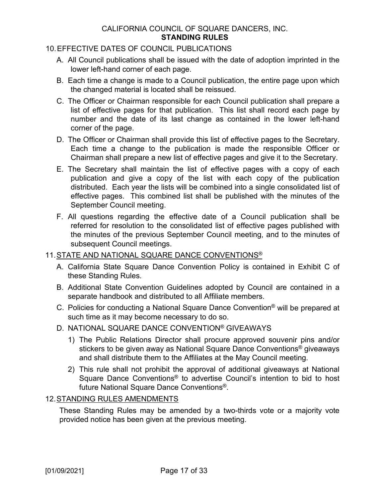#### 10.EFFECTIVE DATES OF COUNCIL PUBLICATIONS

- A. All Council publications shall be issued with the date of adoption imprinted in the lower left-hand corner of each page.
- B. Each time a change is made to a Council publication, the entire page upon which the changed material is located shall be reissued.
- C. The Officer or Chairman responsible for each Council publication shall prepare a list of effective pages for that publication. This list shall record each page by number and the date of its last change as contained in the lower left-hand corner of the page.
- D. The Officer or Chairman shall provide this list of effective pages to the Secretary. Each time a change to the publication is made the responsible Officer or Chairman shall prepare a new list of effective pages and give it to the Secretary.
- E. The Secretary shall maintain the list of effective pages with a copy of each publication and give a copy of the list with each copy of the publication distributed. Each year the lists will be combined into a single consolidated list of effective pages. This combined list shall be published with the minutes of the September Council meeting.
- F. All questions regarding the effective date of a Council publication shall be referred for resolution to the consolidated list of effective pages published with the minutes of the previous September Council meeting, and to the minutes of subsequent Council meetings.

#### <span id="page-18-0"></span>11.STATE AND NATIONAL SQUARE DANCE CONVENTIONS®

- A. California State Square Dance Convention Policy is contained in Exhibit C of these Standing Rules.
- B. Additional State Convention Guidelines adopted by Council are contained in a separate handbook and distributed to all Affiliate members.
- C. Policies for conducting a National Square Dance Convention® will be prepared at such time as it may become necessary to do so.
- D. NATIONAL SQUARE DANCE CONVENTION® GIVEAWAYS
	- 1) The Public Relations Director shall procure approved souvenir pins and/or stickers to be given away as National Square Dance Conventions<sup>®</sup> giveaways and shall distribute them to the Affiliates at the May Council meeting.
	- 2) This rule shall not prohibit the approval of additional giveaways at National Square Dance Conventions® to advertise Council's intention to bid to host future National Square Dance Conventions®.

#### <span id="page-18-1"></span>12.STANDING RULES AMENDMENTS

These Standing Rules may be amended by a two-thirds vote or a majority vote provided notice has been given at the previous meeting.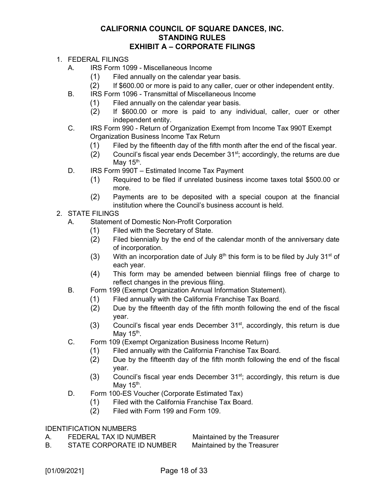#### **CALIFORNIA COUNCIL OF SQUARE DANCES, INC. STANDING RULES EXHIBIT A – CORPORATE FILINGS**

- 1. FEDERAL FILINGS
	- A. IRS Form 1099 Miscellaneous Income
		- (1) Filed annually on the calendar year basis.
		- (2) If \$600.00 or more is paid to any caller, cuer or other independent entity.
	- B. IRS Form 1096 Transmittal of Miscellaneous Income
		- (1) Filed annually on the calendar year basis.
		- (2) If \$600.00 or more is paid to any individual, caller, cuer or other independent entity.
	- C. IRS Form 990 Return of Organization Exempt from Income Tax 990T Exempt Organization Business Income Tax Return
		- (1) Filed by the fifteenth day of the fifth month after the end of the fiscal year.
		- (2) Council's fiscal year ends December  $31<sup>st</sup>$ ; accordingly, the returns are due May  $15<sup>th</sup>$ .
	- D. IRS Form 990T Estimated Income Tax Payment
		- (1) Required to be filed if unrelated business income taxes total \$500.00 or more.
		- (2) Payments are to be deposited with a special coupon at the financial institution where the Council's business account is held.
- 2. STATE FILINGS
	- A. Statement of Domestic Non-Profit Corporation
		- (1) Filed with the Secretary of State.
		- (2) Filed biennially by the end of the calendar month of the anniversary date of incorporation.
		- (3) With an incorporation date of July  $8<sup>th</sup>$  this form is to be filed by July 31<sup>st</sup> of each year.
		- (4) This form may be amended between biennial filings free of charge to reflect changes in the previous filing.
	- B. Form 199 (Exempt Organization Annual Information Statement).
		- (1) Filed annually with the California Franchise Tax Board.
		- (2) Due by the fifteenth day of the fifth month following the end of the fiscal year.
		- $(3)$  Council's fiscal year ends December 31<sup>st</sup>, accordingly, this return is due May  $15<sup>th</sup>$ .
	- C. Form 109 (Exempt Organization Business Income Return)
		- (1) Filed annually with the California Franchise Tax Board.
		- (2) Due by the fifteenth day of the fifth month following the end of the fiscal year.
		- $(3)$  Council's fiscal year ends December 31<sup>st</sup>; accordingly, this return is due May  $15<sup>th</sup>$ .
	- D. Form 100-ES Voucher (Corporate Estimated Tax)
		- (1) Filed with the California Franchise Tax Board.
		- (2) Filed with Form 199 and Form 109.

#### IDENTIFICATION NUMBERS

A. FEDERAL TAX ID NUMBER Maintained by the Treasurer

B. STATE CORPORATE ID NUMBER Maintained by the Treasurer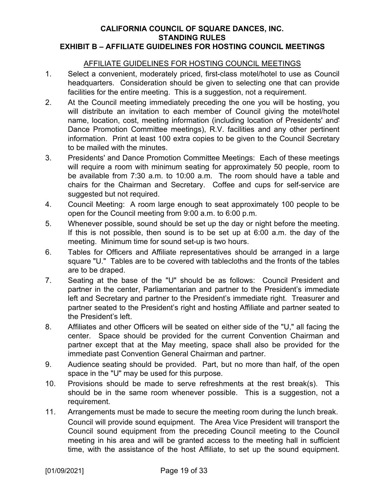#### **CALIFORNIA COUNCIL OF SQUARE DANCES, INC. STANDING RULES EXHIBIT B – AFFILIATE GUIDELINES FOR HOSTING COUNCIL MEETINGS**

#### <span id="page-20-0"></span>AFFILIATE GUIDELINES FOR HOSTING COUNCIL MEETINGS

- 1. Select a convenient, moderately priced, first-class motel/hotel to use as Council headquarters. Consideration should be given to selecting one that can provide facilities for the entire meeting. This is a suggestion, not a requirement.
- 2. At the Council meeting immediately preceding the one you will be hosting, you will distribute an invitation to each member of Council giving the motel/hotel name, location, cost, meeting information (including location of Presidents' and' Dance Promotion Committee meetings), R.V. facilities and any other pertinent information. Print at least 100 extra copies to be given to the Council Secretary to be mailed with the minutes.
- 3. Presidents' and Dance Promotion Committee Meetings: Each of these meetings will require a room with minimum seating for approximately 50 people, room to be available from 7:30 a.m. to 10:00 a.m. The room should have a table and chairs for the Chairman and Secretary. Coffee and cups for self-service are suggested but not required.
- 4. Council Meeting: A room large enough to seat approximately 100 people to be open for the Council meeting from 9:00 a.m. to 6:00 p.m.
- 5. Whenever possible, sound should be set up the day or night before the meeting. If this is not possible, then sound is to be set up at 6:00 a.m. the day of the meeting. Minimum time for sound set-up is two hours.
- 6. Tables for Officers and Affiliate representatives should be arranged in a large square "U." Tables are to be covered with tablecloths and the fronts of the tables are to be draped.
- 7. Seating at the base of the "U" should be as follows: Council President and partner in the center, Parliamentarian and partner to the President's immediate left and Secretary and partner to the President's immediate right. Treasurer and partner seated to the President's right and hosting Affiliate and partner seated to the President's left.
- 8. Affiliates and other Officers will be seated on either side of the "U," all facing the center. Space should be provided for the current Convention Chairman and partner except that at the May meeting, space shall also be provided for the immediate past Convention General Chairman and partner.
- 9. Audience seating should be provided. Part, but no more than half, of the open space in the "U" may be used for this purpose.
- 10. Provisions should be made to serve refreshments at the rest break(s). This should be in the same room whenever possible. This is a suggestion, not a requirement.
- 11. Arrangements must be made to secure the meeting room during the lunch break. Council will provide sound equipment. The Area Vice President will transport the Council sound equipment from the preceding Council meeting to the Council meeting in his area and will be granted access to the meeting hall in sufficient time, with the assistance of the host Affiliate, to set up the sound equipment.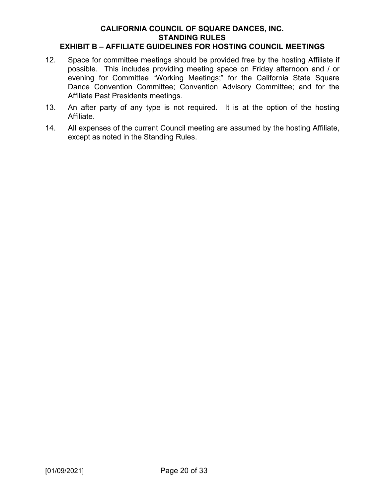#### **EXHIBIT B – AFFILIATE GUIDELINES FOR HOSTING COUNCIL MEETINGS**

- 12. Space for committee meetings should be provided free by the hosting Affiliate if possible. This includes providing meeting space on Friday afternoon and / or evening for Committee "Working Meetings;" for the California State Square Dance Convention Committee; Convention Advisory Committee; and for the Affiliate Past Presidents meetings.
- 13. An after party of any type is not required. It is at the option of the hosting Affiliate.
- 14. All expenses of the current Council meeting are assumed by the hosting Affiliate, except as noted in the Standing Rules.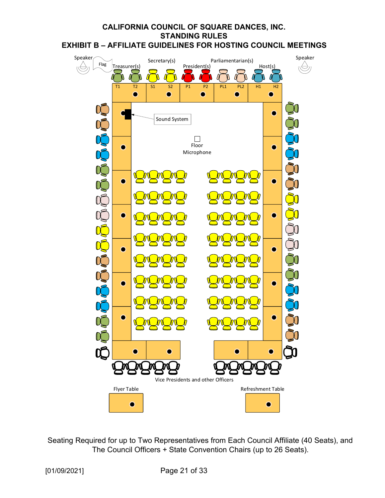#### **CALIFORNIA COUNCIL OF SQUARE DANCES, INC. STANDING RULES EXHIBIT B – AFFILIATE GUIDELINES FOR HOSTING COUNCIL MEETINGS**



Seating Required for up to Two Representatives from Each Council Affiliate (40 Seats), and The Council Officers + State Convention Chairs (up to 26 Seats).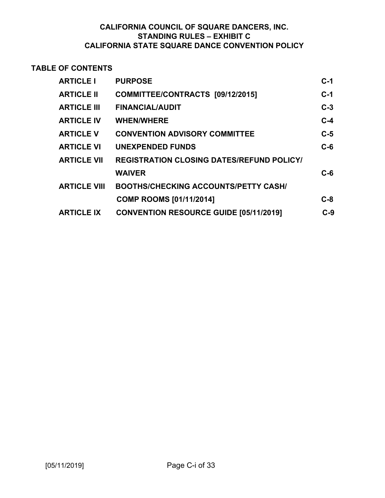#### **TABLE OF CONTENTS**

| <b>ARTICLE I</b>    | <b>PURPOSE</b>                                   | $C-1$ |
|---------------------|--------------------------------------------------|-------|
| <b>ARTICLE II</b>   | COMMITTEE/CONTRACTS [09/12/2015]                 | $C-1$ |
| <b>ARTICLE III</b>  | <b>FINANCIAL/AUDIT</b>                           | $C-3$ |
| <b>ARTICLE IV</b>   | <b>WHEN/WHERE</b>                                | $C-4$ |
| <b>ARTICLE V</b>    | <b>CONVENTION ADVISORY COMMITTEE</b>             | $C-5$ |
| <b>ARTICLE VI</b>   | <b>UNEXPENDED FUNDS</b>                          | $C-6$ |
| <b>ARTICLE VII</b>  | <b>REGISTRATION CLOSING DATES/REFUND POLICY/</b> |       |
|                     | <b>WAIVER</b>                                    | $C-6$ |
| <b>ARTICLE VIII</b> | <b>BOOTHS/CHECKING ACCOUNTS/PETTY CASH/</b>      |       |
|                     | <b>COMP ROOMS [01/11/2014]</b>                   | $C-8$ |
| <b>ARTICLE IX</b>   | <b>CONVENTION RESOURCE GUIDE [05/11/2019]</b>    | $C-9$ |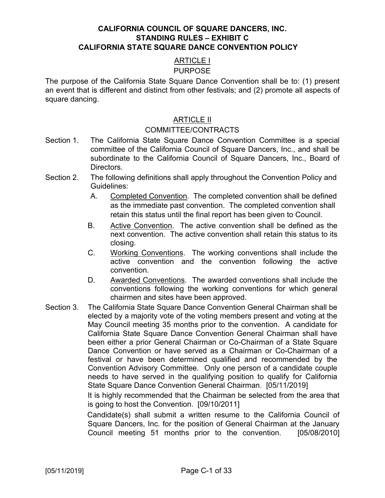#### ARTICLE I

#### PURPOSE

The purpose of the California State Square Dance Convention shall be to: (1) present an event that is different and distinct from other festivals; and (2) promote all aspects of square dancing.

#### ARTICLE II

#### COMMITTEE/CONTRACTS

- Section 1. The California State Square Dance Convention Committee is a special committee of the California Council of Square Dancers, Inc., and shall be subordinate to the California Council of Square Dancers, Inc., Board of Directors.
- Section 2. The following definitions shall apply throughout the Convention Policy and Guidelines:
	- A. Completed Convention. The completed convention shall be defined as the immediate past convention. The completed convention shall retain this status until the final report has been given to Council.
	- B. Active Convention. The active convention shall be defined as the next convention. The active convention shall retain this status to its closing.
	- C. Working Conventions. The working conventions shall include the active convention and the convention following the active convention.
	- D. Awarded Conventions. The awarded conventions shall include the conventions following the working conventions for which general chairmen and sites have been approved.
- Section 3. The California State Square Dance Convention General Chairman shall be elected by a majority vote of the voting members present and voting at the May Council meeting 35 months prior to the convention. A candidate for California State Square Dance Convention General Chairman shall have been either a prior General Chairman or Co-Chairman of a State Square Dance Convention or have served as a Chairman or Co-Chairman of a festival or have been determined qualified and recommended by the Convention Advisory Committee. Only one person of a candidate couple needs to have served in the qualifying position to qualify for California State Square Dance Convention General Chairman. [05/11/2019]

It is highly recommended that the Chairman be selected from the area that is going to host the Convention. [09/10/2011]

Candidate(s) shall submit a written resume to the California Council of Square Dancers, Inc. for the position of General Chairman at the January Council meeting 51 months prior to the convention. [05/08/2010]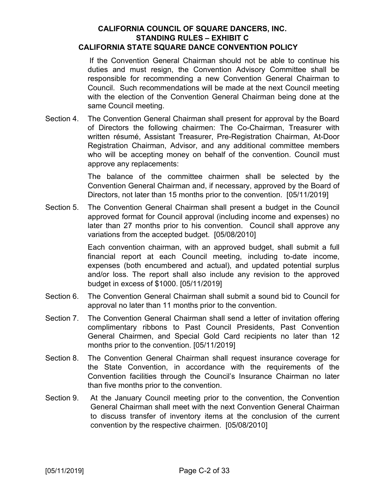If the Convention General Chairman should not be able to continue his duties and must resign, the Convention Advisory Committee shall be responsible for recommending a new Convention General Chairman to Council. Such recommendations will be made at the next Council meeting with the election of the Convention General Chairman being done at the same Council meeting.

Section 4. The Convention General Chairman shall present for approval by the Board of Directors the following chairmen: The Co-Chairman, Treasurer with written résumé, Assistant Treasurer, Pre-Registration Chairman, At-Door Registration Chairman, Advisor, and any additional committee members who will be accepting money on behalf of the convention. Council must approve any replacements:

> The balance of the committee chairmen shall be selected by the Convention General Chairman and, if necessary, approved by the Board of Directors, not later than 15 months prior to the convention. [05/11/2019]

Section 5. The Convention General Chairman shall present a budget in the Council approved format for Council approval (including income and expenses) no later than 27 months prior to his convention. Council shall approve any variations from the accepted budget. [05/08/2010]

> Each convention chairman, with an approved budget, shall submit a full financial report at each Council meeting, including to-date income, expenses (both encumbered and actual), and updated potential surplus and/or loss. The report shall also include any revision to the approved budget in excess of \$1000. [05/11/2019]

- Section 6. The Convention General Chairman shall submit a sound bid to Council for approval no later than 11 months prior to the convention.
- Section 7. The Convention General Chairman shall send a letter of invitation offering complimentary ribbons to Past Council Presidents, Past Convention General Chairmen, and Special Gold Card recipients no later than 12 months prior to the convention. [05/11/2019]
- Section 8. The Convention General Chairman shall request insurance coverage for the State Convention, in accordance with the requirements of the Convention facilities through the Council's Insurance Chairman no later than five months prior to the convention.
- Section 9. At the January Council meeting prior to the convention, the Convention General Chairman shall meet with the next Convention General Chairman to discuss transfer of inventory items at the conclusion of the current convention by the respective chairmen. [05/08/2010]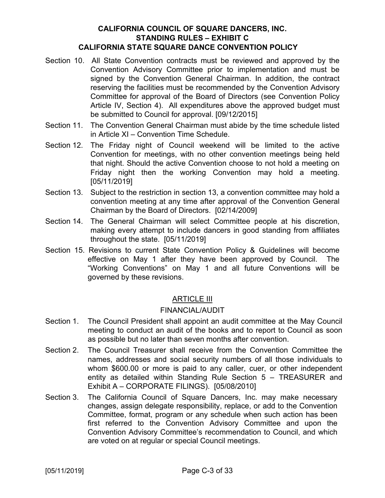- Section 10. All State Convention contracts must be reviewed and approved by the Convention Advisory Committee prior to implementation and must be signed by the Convention General Chairman. In addition, the contract reserving the facilities must be recommended by the Convention Advisory Committee for approval of the Board of Directors (see Convention Policy Article IV, Section 4). All expenditures above the approved budget must be submitted to Council for approval. [09/12/2015]
- Section 11. The Convention General Chairman must abide by the time schedule listed in Article XI – Convention Time Schedule.
- Section 12. The Friday night of Council weekend will be limited to the active Convention for meetings, with no other convention meetings being held that night. Should the active Convention choose to not hold a meeting on Friday night then the working Convention may hold a meeting. [05/11/2019]
- Section 13. Subject to the restriction in section 13, a convention committee may hold a convention meeting at any time after approval of the Convention General Chairman by the Board of Directors. [02/14/2009]
- Section 14. The General Chairman will select Committee people at his discretion, making every attempt to include dancers in good standing from affiliates throughout the state. [05/11/2019]
- Section 15. Revisions to current State Convention Policy & Guidelines will become effective on May 1 after they have been approved by Council. The "Working Conventions" on May 1 and all future Conventions will be governed by these revisions.

#### ARTICLE III

#### FINANCIAL/AUDIT

- Section 1. The Council President shall appoint an audit committee at the May Council meeting to conduct an audit of the books and to report to Council as soon as possible but no later than seven months after convention.
- Section 2. The Council Treasurer shall receive from the Convention Committee the names, addresses and social security numbers of all those individuals to whom \$600.00 or more is paid to any caller, cuer, or other independent entity as detailed within Standing Rule Section 5 – TREASURER and Exhibit A – CORPORATE FILINGS). [05/08/2010]
- Section 3. The California Council of Square Dancers, Inc. may make necessary changes, assign delegate responsibility, replace, or add to the Convention Committee, format, program or any schedule when such action has been first referred to the Convention Advisory Committee and upon the Convention Advisory Committee's recommendation to Council, and which are voted on at regular or special Council meetings.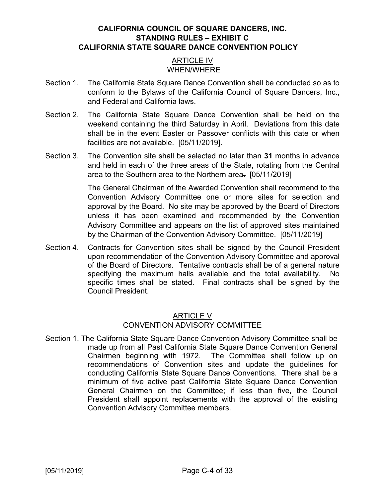#### ARTICLE IV WHEN/WHERE

- Section 1. The California State Square Dance Convention shall be conducted so as to conform to the Bylaws of the California Council of Square Dancers, Inc., and Federal and California laws.
- Section 2. The California State Square Dance Convention shall be held on the weekend containing the third Saturday in April. Deviations from this date shall be in the event Easter or Passover conflicts with this date or when facilities are not available. [05/11/2019].
- Section 3. The Convention site shall be selected no later than **31** months in advance and held in each of the three areas of the State, rotating from the Central area to the Southern area to the Northern area. [05/11/2019]

The General Chairman of the Awarded Convention shall recommend to the Convention Advisory Committee one or more sites for selection and approval by the Board. No site may be approved by the Board of Directors unless it has been examined and recommended by the Convention Advisory Committee and appears on the list of approved sites maintained by the Chairman of the Convention Advisory Committee. [05/11/2019]

Section 4. Contracts for Convention sites shall be signed by the Council President upon recommendation of the Convention Advisory Committee and approval of the Board of Directors. Tentative contracts shall be of a general nature specifying the maximum halls available and the total availability. No specific times shall be stated. Final contracts shall be signed by the Council President.

#### ARTICLE V CONVENTION ADVISORY COMMITTEE

Section 1. The California State Square Dance Convention Advisory Committee shall be made up from all Past California State Square Dance Convention General Chairmen beginning with 1972. The Committee shall follow up on recommendations of Convention sites and update the guidelines for conducting California State Square Dance Conventions. There shall be a minimum of five active past California State Square Dance Convention General Chairmen on the Committee; if less than five, the Council President shall appoint replacements with the approval of the existing Convention Advisory Committee members.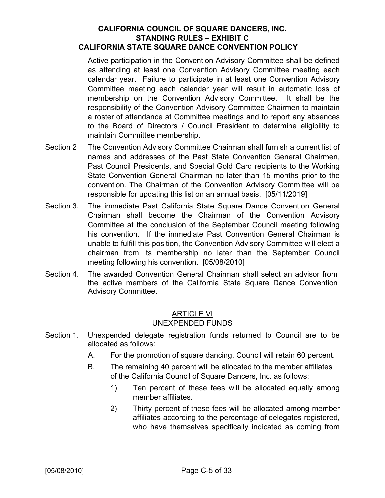Active participation in the Convention Advisory Committee shall be defined as attending at least one Convention Advisory Committee meeting each calendar year. Failure to participate in at least one Convention Advisory Committee meeting each calendar year will result in automatic loss of membership on the Convention Advisory Committee. It shall be the responsibility of the Convention Advisory Committee Chairmen to maintain a roster of attendance at Committee meetings and to report any absences to the Board of Directors / Council President to determine eligibility to maintain Committee membership.

- Section 2 The Convention Advisory Committee Chairman shall furnish a current list of names and addresses of the Past State Convention General Chairmen, Past Council Presidents, and Special Gold Card recipients to the Working State Convention General Chairman no later than 15 months prior to the convention. The Chairman of the Convention Advisory Committee will be responsible for updating this list on an annual basis. [05/11/2019]
- Section 3. The immediate Past California State Square Dance Convention General Chairman shall become the Chairman of the Convention Advisory Committee at the conclusion of the September Council meeting following his convention. If the immediate Past Convention General Chairman is unable to fulfill this position, the Convention Advisory Committee will elect a chairman from its membership no later than the September Council meeting following his convention. [05/08/2010]
- Section 4. The awarded Convention General Chairman shall select an advisor from the active members of the California State Square Dance Convention Advisory Committee.

#### ARTICLE VI UNEXPENDED FUNDS

- Section 1. Unexpended delegate registration funds returned to Council are to be allocated as follows:
	- A. For the promotion of square dancing, Council will retain 60 percent.
	- B. The remaining 40 percent will be allocated to the member affiliates of the California Council of Square Dancers, Inc. as follows:
		- 1) Ten percent of these fees will be allocated equally among member affiliates.
		- 2) Thirty percent of these fees will be allocated among member affiliates according to the percentage of delegates registered, who have themselves specifically indicated as coming from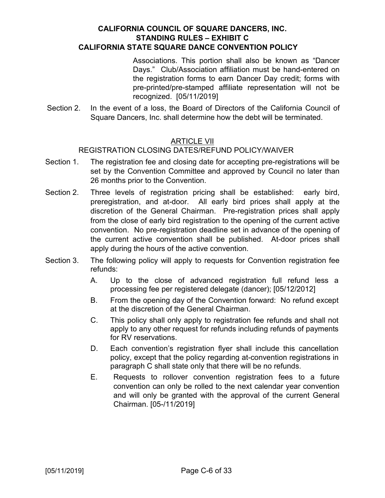Associations. This portion shall also be known as "Dancer Days." Club/Association affiliation must be hand-entered on the registration forms to earn Dancer Day credit; forms with pre-printed/pre-stamped affiliate representation will not be recognized. [05/11/2019]

Section 2. In the event of a loss, the Board of Directors of the California Council of Square Dancers, Inc. shall determine how the debt will be terminated.

#### **ARTICLE VII**

#### REGISTRATION CLOSING DATES/REFUND POLICY/WAIVER

- Section 1. The registration fee and closing date for accepting pre-registrations will be set by the Convention Committee and approved by Council no later than 26 months prior to the Convention.
- Section 2. Three levels of registration pricing shall be established: early bird, preregistration, and at-door. All early bird prices shall apply at the discretion of the General Chairman. Pre-registration prices shall apply from the close of early bird registration to the opening of the current active convention. No pre-registration deadline set in advance of the opening of the current active convention shall be published. At-door prices shall apply during the hours of the active convention.
- Section 3. The following policy will apply to requests for Convention registration fee refunds:
	- A. Up to the close of advanced registration full refund less a processing fee per registered delegate (dancer); [05/12/2012]
	- B. From the opening day of the Convention forward: No refund except at the discretion of the General Chairman.
	- C. This policy shall only apply to registration fee refunds and shall not apply to any other request for refunds including refunds of payments for RV reservations.
	- D. Each convention's registration flyer shall include this cancellation policy, except that the policy regarding at-convention registrations in paragraph C shall state only that there will be no refunds.
	- E. Requests to rollover convention registration fees to a future convention can only be rolled to the next calendar year convention and will only be granted with the approval of the current General Chairman. [05-/11/2019]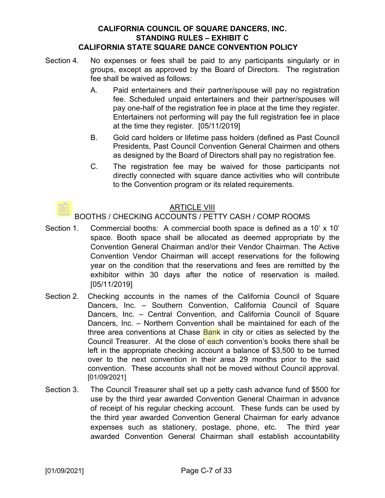- Section 4. No expenses or fees shall be paid to any participants singularly or in groups, except as approved by the Board of Directors. The registration fee shall be waived as follows:
	- A. Paid entertainers and their partner/spouse will pay no registration fee. Scheduled unpaid entertainers and their partner/spouses will pay one-half of the registration fee in place at the time they register. Entertainers not performing will pay the full registration fee in place at the time they register. [05/11/2019]
	- B. Gold card holders or lifetime pass holders (defined as Past Council Presidents, Past Council Convention General Chairmen and others as designed by the Board of Directors shall pay no registration fee.
	- C. The registration fee may be waived for those participants not directly connected with square dance activities who will contribute to the Convention program or its related requirements.

#### ARTICLE VIII

#### BOOTHS / CHECKING ACCOUNTS / PETTY CASH / COMP ROOMS

- Section 1. Commercial booths: A commercial booth space is defined as a 10' x 10' space. Booth space shall be allocated as deemed appropriate by the Convention General Chairman and/or their Vendor Chairman. The Active Convention Vendor Chairman will accept reservations for the following year on the condition that the reservations and fees are remitted by the exhibitor within 30 days after the notice of reservation is mailed. [05/11/2019]
- Section 2. Checking accounts in the names of the California Council of Square Dancers, Inc. – Southern Convention, California Council of Square Dancers, Inc. – Central Convention, and California Council of Square Dancers, Inc. – Northern Convention shall be maintained for each of the three area conventions at Chase Bank in city or cities as selected by the Council Treasurer. At the close of each convention's books there shall be left in the appropriate checking account a balance of \$3,500 to be turned over to the next convention in their area 29 months prior to the said convention. These accounts shall not be moved without Council approval. [01/09/2021]
- Section 3. The Council Treasurer shall set up a petty cash advance fund of \$500 for use by the third year awarded Convention General Chairman in advance of receipt of his regular checking account. These funds can be used by the third year awarded Convention General Chairman for early advance expenses such as stationery, postage, phone, etc. The third year awarded Convention General Chairman shall establish accountability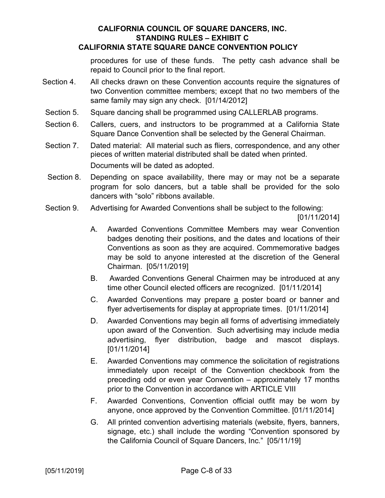#### procedures for use of these funds. The petty cash advance shall be repaid to Council prior to the final report.

- Section 4. All checks drawn on these Convention accounts require the signatures of two Convention committee members; except that no two members of the same family may sign any check. [01/14/2012]
- Section 5. Square dancing shall be programmed using CALLERLAB programs.
- Section 6. Callers, cuers, and instructors to be programmed at a California State Square Dance Convention shall be selected by the General Chairman.
- Section 7. Dated material: All material such as fliers, correspondence, and any other pieces of written material distributed shall be dated when printed. Documents will be dated as adopted.
- Section 8. Depending on space availability, there may or may not be a separate program for solo dancers, but a table shall be provided for the solo dancers with "solo" ribbons available.
- Section 9. Advertising for Awarded Conventions shall be subject to the following:

[01/11/2014]

- A. Awarded Conventions Committee Members may wear Convention badges denoting their positions, and the dates and locations of their Conventions as soon as they are acquired. Commemorative badges may be sold to anyone interested at the discretion of the General Chairman. [05/11/2019]
- B. Awarded Conventions General Chairmen may be introduced at any time other Council elected officers are recognized. [01/11/2014]
- C. Awarded Conventions may prepare a poster board or banner and flyer advertisements for display at appropriate times. [01/11/2014]
- D. Awarded Conventions may begin all forms of advertising immediately upon award of the Convention. Such advertising may include media advertising, flyer distribution, badge and mascot displays. [01/11/2014]
- E. Awarded Conventions may commence the solicitation of registrations immediately upon receipt of the Convention checkbook from the preceding odd or even year Convention – approximately 17 months prior to the Convention in accordance with ARTICLE VIII
- F. Awarded Conventions, Convention official outfit may be worn by anyone, once approved by the Convention Committee. [01/11/2014]
- G. All printed convention advertising materials (website, flyers, banners, signage, etc.) shall include the wording "Convention sponsored by the California Council of Square Dancers, Inc." [05/11/19]